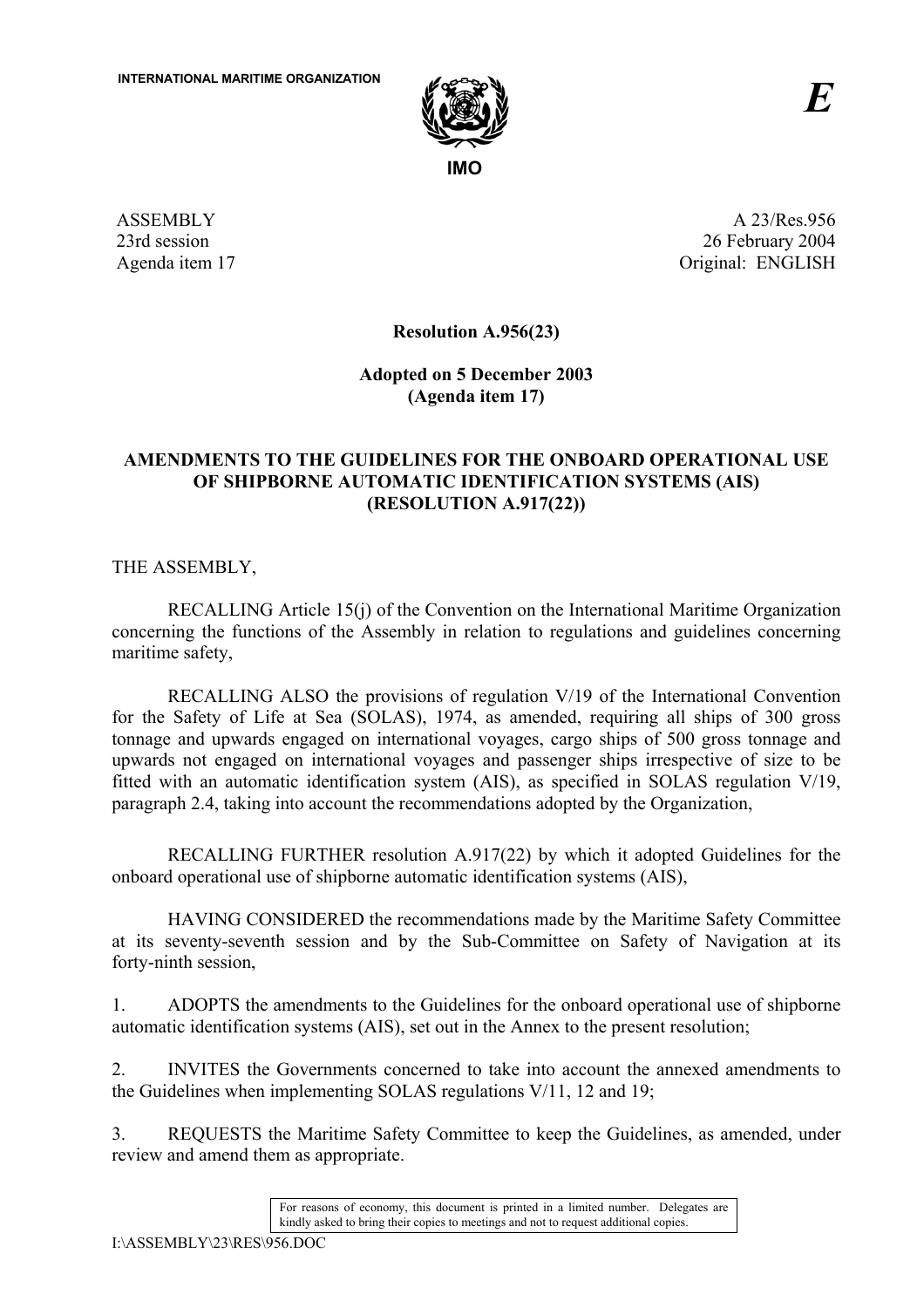

ASSEMBLY 23rd session Agenda item 17

A 23/Res.956 26 February 2004 Original: ENGLISH

**Resolution A.956(23)** 

**Adopted on 5 December 2003 (Agenda item 17)** 

# **AMENDMENTS TO THE GUIDELINES FOR THE ONBOARD OPERATIONAL USE OF SHIPBORNE AUTOMATIC IDENTIFICATION SYSTEMS (AIS) (RESOLUTION A.917(22))**

THE ASSEMBLY,

RECALLING Article 15(j) of the Convention on the International Maritime Organization concerning the functions of the Assembly in relation to regulations and guidelines concerning maritime safety,

RECALLING ALSO the provisions of regulation V/19 of the International Convention for the Safety of Life at Sea (SOLAS), 1974, as amended, requiring all ships of 300 gross tonnage and upwards engaged on international voyages, cargo ships of 500 gross tonnage and upwards not engaged on international voyages and passenger ships irrespective of size to be fitted with an automatic identification system (AIS), as specified in SOLAS regulation V/19, paragraph 2.4, taking into account the recommendations adopted by the Organization,

RECALLING FURTHER resolution A.917(22) by which it adopted Guidelines for the onboard operational use of shipborne automatic identification systems (AIS),

HAVING CONSIDERED the recommendations made by the Maritime Safety Committee at its seventy-seventh session and by the Sub-Committee on Safety of Navigation at its forty-ninth session,

1. ADOPTS the amendments to the Guidelines for the onboard operational use of shipborne automatic identification systems (AIS), set out in the Annex to the present resolution;

2. INVITES the Governments concerned to take into account the annexed amendments to the Guidelines when implementing SOLAS regulations V/11, 12 and 19;

3. REQUESTS the Maritime Safety Committee to keep the Guidelines, as amended, under review and amend them as appropriate.

> For reasons of economy, this document is printed in a limited number. Delegates are kindly asked to bring their copies to meetings and not to request additional copies.